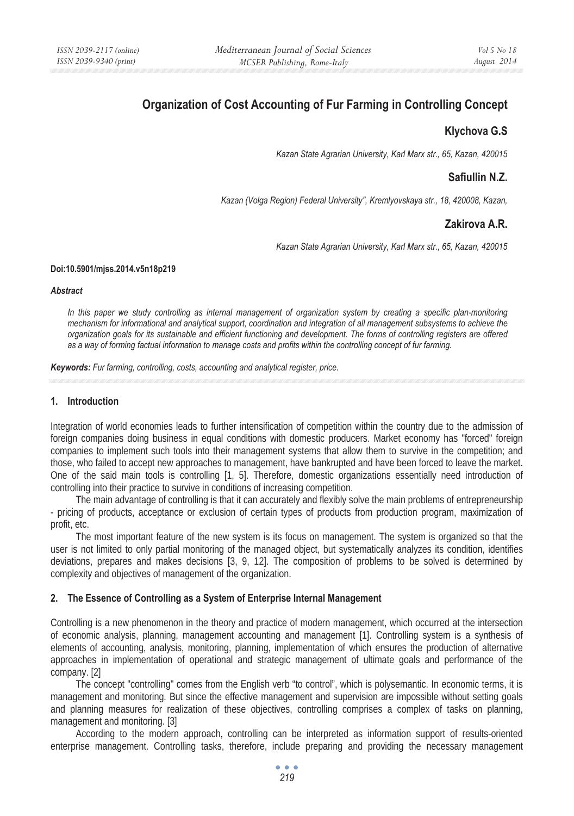# **Organization of Cost Accounting of Fur Farming in Controlling Concept**

## **Klychova G.S**

*Kazan State Agrarian University, Karl Marx str., 65, Kazan, 420015* 

## **Safiullin N.Z.**

*Kazan (Volga Region) Federal University", Kremlyovskaya str., 18, 420008, Kazan,* 

## **Zakirova A.R.**

*Kazan State Agrarian University, Karl Marx str., 65, Kazan, 420015* 

#### **Doi:10.5901/mjss.2014.v5n18p219**

#### *Abstract*

*In this paper we study controlling as internal management of organization system by creating a specific plan-monitoring mechanism for informational and analytical support, coordination and integration of all management subsystems to achieve the organization goals for its sustainable and efficient functioning and development. The forms of controlling registers are offered as a way of forming factual information to manage costs and profits within the controlling concept of fur farming.* 

*Keywords: Fur farming, controlling, costs, accounting and analytical register, price.* 

#### **1. Introduction**

Integration of world economies leads to further intensification of competition within the country due to the admission of foreign companies doing business in equal conditions with domestic producers. Market economy has "forced" foreign companies to implement such tools into their management systems that allow them to survive in the competition; and those, who failed to accept new approaches to management, have bankrupted and have been forced to leave the market. One of the said main tools is controlling [1, 5]. Therefore, domestic organizations essentially need introduction of controlling into their practice to survive in conditions of increasing competition.

The main advantage of controlling is that it can accurately and flexibly solve the main problems of entrepreneurship - pricing of products, acceptance or exclusion of certain types of products from production program, maximization of profit, etc.

The most important feature of the new system is its focus on management. The system is organized so that the user is not limited to only partial monitoring of the managed object, but systematically analyzes its condition, identifies deviations, prepares and makes decisions [3, 9, 12]. The composition of problems to be solved is determined by complexity and objectives of management of the organization.

#### **2. The Essence of Controlling as a System of Enterprise Internal Management**

Controlling is a new phenomenon in the theory and practice of modern management, which occurred at the intersection of economic analysis, planning, management accounting and management [1]. Controlling system is a synthesis of elements of accounting, analysis, monitoring, planning, implementation of which ensures the production of alternative approaches in implementation of operational and strategic management of ultimate goals and performance of the company. [2]

The concept "controlling" comes from the English verb "to control", which is polysemantic. In economic terms, it is management and monitoring. But since the effective management and supervision are impossible without setting goals and planning measures for realization of these objectives, controlling comprises a complex of tasks on planning, management and monitoring. [3]

According to the modern approach, controlling can be interpreted as information support of results-oriented enterprise management. Controlling tasks, therefore, include preparing and providing the necessary management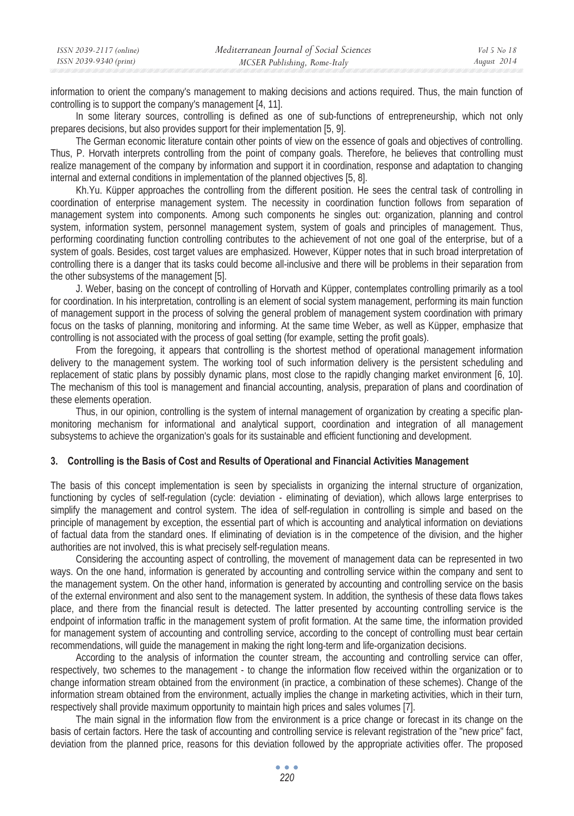| ISSN 2039-2117 (online) | Mediterranean Journal of Social Sciences | Vol 5 No 18 |
|-------------------------|------------------------------------------|-------------|
| ISSN 2039-9340 (print)  | MCSER Publishing, Rome-Italy             | August 2014 |

information to orient the company's management to making decisions and actions required. Thus, the main function of controlling is to support the company's management [4, 11].

In some literary sources, controlling is defined as one of sub-functions of entrepreneurship, which not only prepares decisions, but also provides support for their implementation [5, 9].

The German economic literature contain other points of view on the essence of goals and objectives of controlling. Thus, P. Horvath interprets controlling from the point of company goals. Therefore, he believes that controlling must realize management of the company by information and support it in coordination, response and adaptation to changing internal and external conditions in implementation of the planned objectives [5, 8].

Kh.Yu. Küpper approaches the controlling from the different position. He sees the central task of controlling in coordination of enterprise management system. The necessity in coordination function follows from separation of management system into components. Among such components he singles out: organization, planning and control system, information system, personnel management system, system of goals and principles of management. Thus, performing coordinating function controlling contributes to the achievement of not one goal of the enterprise, but of a system of goals. Besides, cost target values are emphasized. However, Küpper notes that in such broad interpretation of controlling there is a danger that its tasks could become all-inclusive and there will be problems in their separation from the other subsystems of the management [5].

J. Weber, basing on the concept of controlling of Horvath and Küpper, contemplates controlling primarily as a tool for coordination. In his interpretation, controlling is an element of social system management, performing its main function of management support in the process of solving the general problem of management system coordination with primary focus on the tasks of planning, monitoring and informing. At the same time Weber, as well as Küpper, emphasize that controlling is not associated with the process of goal setting (for example, setting the profit goals).

From the foregoing, it appears that controlling is the shortest method of operational management information delivery to the management system. The working tool of such information delivery is the persistent scheduling and replacement of static plans by possibly dynamic plans, most close to the rapidly changing market environment [6, 10]. The mechanism of this tool is management and financial accounting, analysis, preparation of plans and coordination of these elements operation.

Thus, in our opinion, controlling is the system of internal management of organization by creating a specific planmonitoring mechanism for informational and analytical support, coordination and integration of all management subsystems to achieve the organization's goals for its sustainable and efficient functioning and development.

#### **3. Controlling is the Basis of Cost and Results of Operational and Financial Activities Management**

The basis of this concept implementation is seen by specialists in organizing the internal structure of organization, functioning by cycles of self-regulation (cycle: deviation - eliminating of deviation), which allows large enterprises to simplify the management and control system. The idea of self-regulation in controlling is simple and based on the principle of management by exception, the essential part of which is accounting and analytical information on deviations of factual data from the standard ones. If eliminating of deviation is in the competence of the division, and the higher authorities are not involved, this is what precisely self-regulation means.

Considering the accounting aspect of controlling, the movement of management data can be represented in two ways. On the one hand, information is generated by accounting and controlling service within the company and sent to the management system. On the other hand, information is generated by accounting and controlling service on the basis of the external environment and also sent to the management system. In addition, the synthesis of these data flows takes place, and there from the financial result is detected. The latter presented by accounting controlling service is the endpoint of information traffic in the management system of profit formation. At the same time, the information provided for management system of accounting and controlling service, according to the concept of controlling must bear certain recommendations, will guide the management in making the right long-term and life-organization decisions.

According to the analysis of information the counter stream, the accounting and controlling service can offer, respectively, two schemes to the management - to change the information flow received within the organization or to change information stream obtained from the environment (in practice, a combination of these schemes). Change of the information stream obtained from the environment, actually implies the change in marketing activities, which in their turn, respectively shall provide maximum opportunity to maintain high prices and sales volumes [7].

The main signal in the information flow from the environment is a price change or forecast in its change on the basis of certain factors. Here the task of accounting and controlling service is relevant registration of the "new price" fact, deviation from the planned price, reasons for this deviation followed by the appropriate activities offer. The proposed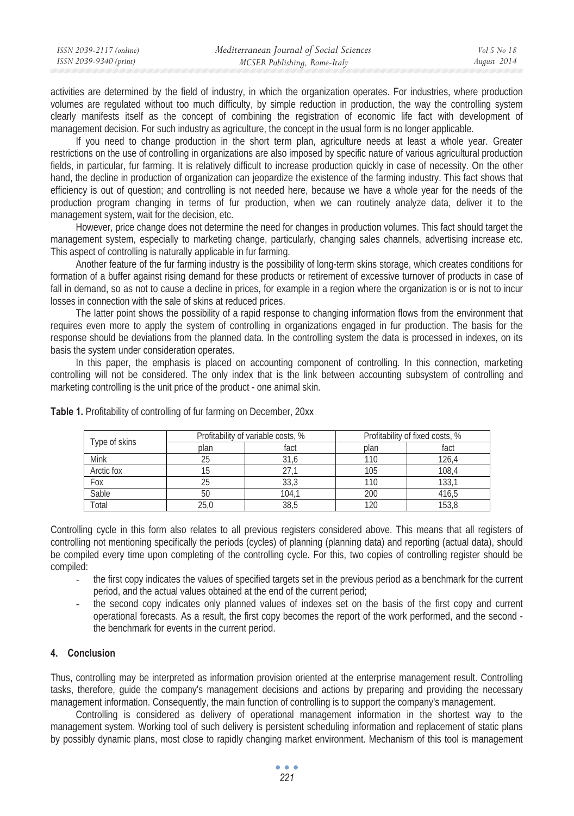| ISSN 2039-2117 (online) | Mediterranean Journal of Social Sciences | Vol 5 No 18 |
|-------------------------|------------------------------------------|-------------|
| ISSN 2039-9340 (print)  | MCSER Publishing, Rome-Italy             | August 2014 |

activities are determined by the field of industry, in which the organization operates. For industries, where production volumes are regulated without too much difficulty, by simple reduction in production, the way the controlling system clearly manifests itself as the concept of combining the registration of economic life fact with development of management decision. For such industry as agriculture, the concept in the usual form is no longer applicable.

If you need to change production in the short term plan, agriculture needs at least a whole year. Greater restrictions on the use of controlling in organizations are also imposed by specific nature of various agricultural production fields, in particular, fur farming. It is relatively difficult to increase production quickly in case of necessity. On the other hand, the decline in production of organization can jeopardize the existence of the farming industry. This fact shows that efficiency is out of question; and controlling is not needed here, because we have a whole year for the needs of the production program changing in terms of fur production, when we can routinely analyze data, deliver it to the management system, wait for the decision, etc.

However, price change does not determine the need for changes in production volumes. This fact should target the management system, especially to marketing change, particularly, changing sales channels, advertising increase etc. This aspect of controlling is naturally applicable in fur farming.

Another feature of the fur farming industry is the possibility of long-term skins storage, which creates conditions for formation of a buffer against rising demand for these products or retirement of excessive turnover of products in case of fall in demand, so as not to cause a decline in prices, for example in a region where the organization is or is not to incur losses in connection with the sale of skins at reduced prices.

The latter point shows the possibility of a rapid response to changing information flows from the environment that requires even more to apply the system of controlling in organizations engaged in fur production. The basis for the response should be deviations from the planned data. In the controlling system the data is processed in indexes, on its basis the system under consideration operates.

In this paper, the emphasis is placed on accounting component of controlling. In this connection, marketing controlling will not be considered. The only index that is the link between accounting subsystem of controlling and marketing controlling is the unit price of the product - one animal skin.

| Type of skins | Profitability of variable costs, % |       | Profitability of fixed costs, % |       |
|---------------|------------------------------------|-------|---------------------------------|-------|
|               | plan                               | fact  | plan                            | fact  |
| Mink          | 25                                 | 31,6  | 110                             | 126.4 |
| Arctic fox    |                                    |       | 105                             | 108.4 |
| Fox           | 25                                 | 33,3  | 110                             | 133,  |
| Sable         | 50                                 | 104.1 | 200                             | 416.5 |
| Total         | 25.0                               | 38.5  |                                 | 153.8 |

**Table 1.** Profitability of controlling of fur farming on December, 20xx

Controlling cycle in this form also relates to all previous registers considered above. This means that all registers of controlling not mentioning specifically the periods (cycles) of planning (planning data) and reporting (actual data), should be compiled every time upon completing of the controlling cycle. For this, two copies of controlling register should be compiled:

- the first copy indicates the values of specified targets set in the previous period as a benchmark for the current period, and the actual values obtained at the end of the current period;
- the second copy indicates only planned values of indexes set on the basis of the first copy and current operational forecasts. As a result, the first copy becomes the report of the work performed, and the second the benchmark for events in the current period.

### **4. Conclusion**

Thus, controlling may be interpreted as information provision oriented at the enterprise management result. Controlling tasks, therefore, guide the company's management decisions and actions by preparing and providing the necessary management information. Consequently, the main function of controlling is to support the company's management.

Controlling is considered as delivery of operational management information in the shortest way to the management system. Working tool of such delivery is persistent scheduling information and replacement of static plans by possibly dynamic plans, most close to rapidly changing market environment. Mechanism of this tool is management